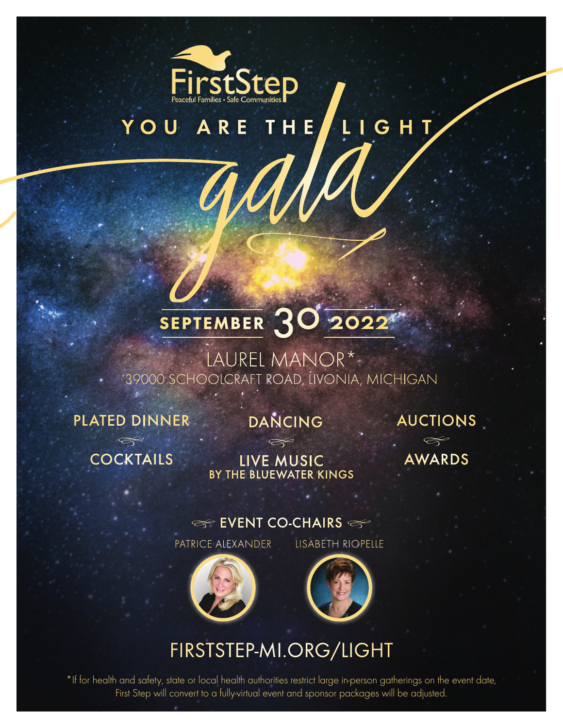

# YOU ARE THE LIGHT

iala

# SEPTEMBER 30 2022

LAUREL MANOR\* 39000 SCHOOLCRAFT ROAD, LIVONIA, MICHIGAN

PLATED DINNER

*�*

**DANCING** 

*�*

AUCTIONS

COCKTAILS

LIVE MUSIC BY THE BLUEWATER KINGS

 $\infty$ AWARDS

### $\ll$  EVENT CO-CHAIRS  $\ll$

PATRICE ALEXANDER LISABETH RIOPELLE





### [FIRSTSTEP-MI.ORG/LIGHT](https://firststep-mi.org/light)

\*If for health and safety, state or local health authorities restrict large in-person gatherings on the event date, First Step will convert to a fully-virtual event and sponsor packages will be adjusted.